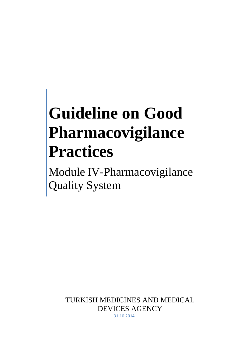# **Guideline on Good Pharmacovigilance Practices**

Module IV-Pharmacovigilance Quality System

> TURKISH MEDICINES AND MEDICAL DEVICES AGENCY 31.10.2014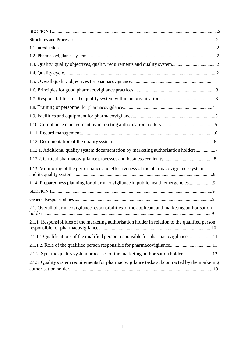| 1.12.1. Additional quality system documentation by marketing authorisation holders7               |   |
|---------------------------------------------------------------------------------------------------|---|
|                                                                                                   |   |
| 1.13. Monitoring of the performance and effectiveness of the pharmacovigilance system             |   |
| 1.14. Preparedness planning for pharmacovigilance in public health emergencies                    |   |
|                                                                                                   |   |
|                                                                                                   |   |
| 2.1. Overall pharmacovigilance responsibilities of the applicant and marketing authorisation      | 9 |
| 2.1.1. Responsibilities of the marketing authorisation holder in relation to the qualified person |   |
| 2.1.1.1 Qualifications of the qualified person responsible for pharmacovigilance11                |   |
| 2.1.1.2. Role of the qualified person responsible for pharmacovigilance11                         |   |
| 2.1.2. Specific quality system processes of the marketing authorisation holder12                  |   |
| 2.1.3. Quality system requirements for pharmacovigilance tasks subcontracted by the marketing     |   |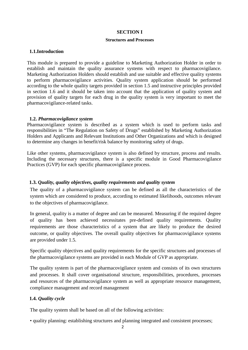#### **SECTION I**

#### **Structures and Processes**

#### **1.1.Introduction**

This module is prepared to provide a guideline to Marketing Authorization Holder in order to establish and maintain the quality assurance systems with respect to pharmacovigilance. Marketing Authorization Holders should establish and use suitable and effective quality systems to perform pharmacovigilance activities. Quality system application should be performed according to the whole quality targets provided in section 1.5 and instructive principles provided in section 1.6 and it should be taken into account that the application of quality system and provision of quality targets for each drug in the quality system is very important to meet the pharmacovigilance-related tasks.

#### **1.2.** *Pharmacovigilance system*

Pharmacovigilance system is described as a system which is used to perform tasks and responsibilities in "The Regulation on Safety of Drugs" established by Marketing Authorization Holders and Applicants and Relevant Institutions and Other Organizations and which is designed to determine any changes in benefit/risk balance by monitoring safety of drugs.

Like other systems, pharmacovigilance system is also defined by structure, process and results. Including the necessary structures, there is a specific module in Good Pharmacovigilance Practices (GVP) for each specific pharmacovigilance process.

## **1.3.** *Quality, quality objectives, quality requirements and quality system*

The quality of a pharmacovigilance system can be defined as all the characteristics of the system which are considered to produce, according to estimated likelihoods, outcomes relevant to the objectives of pharmacovigilance.

In general, quality is a matter of degree and can be measured. Measuring if the required degree of quality has been achieved necessitates pre-defined quality requirements. Quality requirements are those characteristics of a system that are likely to produce the desired outcome, or quality objectives. The overall quality objectives for pharmacovigilance systems are provided under 1.5.

Specific quality objectives and quality requirements for the specific structures and processes of the pharmacovigilance systems are provided in each Module of GVP as appropriate.

The quality system is part of the pharmacovigilance system and consists of its own structures and processes. It shall cover organisational structure, responsibilities, procedures, processes and resources of the pharmacovigilance system as well as appropriate resource management, compliance management and record management

## **1.4.** *Quality cycle*

The quality system shall be based on all of the following activities:

• quality planning: establishing structures and planning integrated and consistent processes;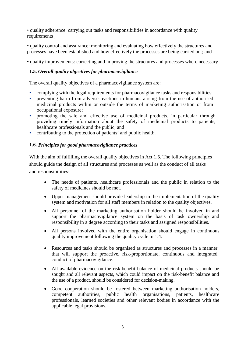• quality adherence: carrying out tasks and responsibilities in accordance with quality requirements ;

• quality control and assurance: monitoring and evaluating how effectively the structures and processes have been established and how effectively the processes are being carried out; and

• quality improvements: correcting and improving the structures and processes where necessary

# **1.5.** *Overall quality objectives for pharmacovigilance*

The overall quality objectives of a pharmacovigilance system are:

- complying with the legal requirements for pharmacovigilance tasks and responsibilities;
- preventing harm from adverse reactions in humans arising from the use of authorised medicinal products within or outside the terms of marketing authorisation or from occupational exposure;
- promoting the safe and effective use of medicinal products, in particular through providing timely information about the safety of medicinal products to patients, healthcare professionals and the public; and
- contributing to the protection of patients' and public health.

### **1.6.** *Principles for good pharmacovigilance practices*

With the aim of fulfilling the overall quality objectives in Act 1.5. The following principles should guide the design of all structures and processes as well as the conduct of all tasks and responsibilities:

- The needs of patients, healthcare professionals and the public in relation to the safety of medicines should be met.
- Upper management should provide leadership in the implementation of the quality system and motivation for all staff members in relation to the quality objectives.
- All personnel of the marketing authorisation holder should be involved in and support the pharmacovigilance system on the basis of task ownership and responsibility in a degree according to their tasks and assigned responsibilities.
- All persons involved with the entire organisation should engage in continuous quality improvement following the quality cycle in 1.4.
- Resources and tasks should be organised as structures and processes in a manner that will support the proactive, risk-proportionate, continuous and integrated conduct of pharmacovigilance.
- All available evidence on the risk-benefit balance of medicinal products should be sought and all relevant aspects, which could impact on the risk-benefit balance and the use of a product, should be considered for decision-making.
- Good cooperation should be fostered between marketing authorisation holders, competent authorities, public health organisations, patients, healthcare professionals, learned societies and other relevant bodies in accordance with the applicable legal provisions.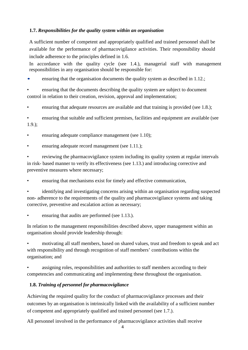# **1.7.** *Responsibilities for the quality system within an organisation*

A sufficient number of competent and appropriately qualified and trained personnel shall be available for the performance of pharmacovigilance activities. Their responsibility should include adherence to the principles defined in 1.6.

In accordance with the quality cycle (see 1.4.), managerial staff with management responsibilities in any organisation should be responsible for:

ensuring that the organisation documents the quality system as described in 1.12.;

• ensuring that the documents describing the quality system are subject to document control in relation to their creation, revision, approval and implementation;

• ensuring that adequate resources are available and that training is provided (see 1.8.);

• ensuring that suitable and sufficient premises, facilities and equipment are available (see 1.9.);

• ensuring adequate compliance management (see 1.10);

ensuring adequate record management (see 1.11.);

• reviewing the pharmacovigilance system including its quality system at regular intervals in risk- based manner to verify its effectiveness (see 1.13.) and introducing corrective and preventive measures where necessary;

• ensuring that mechanisms exist for timely and effective communication,

• identifying and investigating concerns arising within an organisation regarding suspected non- adherence to the requirements of the quality and pharmacovigilance systems and taking corrective, preventive and escalation action as necessary;

ensuring that audits are performed (see 1.13.).

In relation to the management responsibilities described above, upper management within an organisation should provide leadership through:

• motivating all staff members, based on shared values, trust and freedom to speak and act with responsibility and through recognition of staff members' contributions within the organisation; and

assigning roles, responsibilities and authorities to staff members according to their competencies and communicating and implementing these throughout the organisation.

# **1.8.** *Training of personnel for pharmacovigilance*

Achieving the required quality for the conduct of pharmacovigilance processes and their outcomes by an organisation is intrinsically linked with the availability of a sufficient number of competent and appropriately qualified and trained personnel (see 1.7.).

All personnel involved in the performance of pharmacovigilance activities shall receive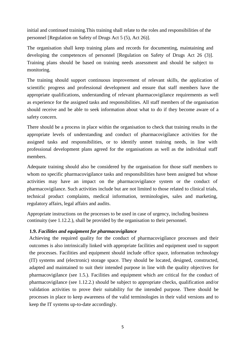initial and continued training.This training shall relate to the roles and responsibilities of the personnel [Regulation on Safety of Drugs Act 5 (5), Act 26)].

The organisation shall keep training plans and records for documenting, maintaining and developing the competences of personnel [Regulation on Safety of Drugs Act 26 (3)]. Training plans should be based on training needs assessment and should be subject to monitoring.

The training should support continuous improvement of relevant skills, the application of scientific progress and professional development and ensure that staff members have the appropriate qualifications, understanding of relevant pharmacovigilance requirements as well as experience for the assigned tasks and responsibilities. All staff members of the organisation should receive and be able to seek information about what to do if they become aware of a safety concern.

There should be a process in place within the organisation to check that training results in the appropriate levels of understanding and conduct of pharmacovigilance activities for the assigned tasks and responsibilities, or to identify unmet training needs, in line with professional development plans agreed for the organisations as well as the individual staff members.

Adequate training should also be considered by the organisation for those staff members to whom no specific pharmacovigilance tasks and responsibilities have been assigned but whose activities may have an impact on the pharmacovigilance system or the conduct of pharmacovigilance. Such activities include but are not limited to those related to clinical trials, technical product complaints, medical information, terminologies, sales and marketing, regulatory affairs, legal affairs and audits.

Appropriate instructions on the processes to be used in case of urgency, including business continuity (see 1.12.2.), shall be provided by the organisation to their personnel.

#### **1.9.** *Facilities and equipment for pharmacovigilance*

Achieving the required quality for the conduct of pharmacovigilance processes and their outcomes is also intrinsically linked with appropriate facilities and equipment used to support the processes. Facilities and equipment should include office space, information technology (IT) systems and (electronic) storage space. They should be located, designed, constructed, adapted and maintained to suit their intended purpose in line with the quality objectives for pharmacovigilance (see 1.5.). Facilities and equipment which are critical for the conduct of pharmacovigilance (see 1.12.2.) should be subject to appropriate checks, qualification and/or validation activities to prove their suitability for the intended purpose. There should be processes in place to keep awareness of the valid terminologies in their valid versions and to keep the IT systems up-to-date accordingly.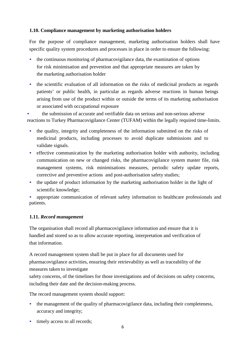## **1.10. Compliance management by marketing authorisation holders**

For the purpose of compliance management, marketing authorisation holders shall have specific quality system procedures and processes in place in order to ensure the following:

- the continuous monitoring of pharmacovigilance data, the examination of options for risk minimisation and prevention and that appropriate measures are taken by the marketing authorisation holder
- the scientific evaluation of all information on the risks of medicinal products as regards patients' or public health, in particular as regards adverse reactions in human beings arising from use of the product within or outside the terms of its marketing authorisation or associated with occupational exposure

• the submission of accurate and verifiable data on serious and non-serious adverse reactions to Turkey Pharmacovigilance Center (TUFAM) within the legally required time-limits.

- the quality, integrity and completeness of the information submitted on the risks of medicinal products, including processes to avoid duplicate submissions and to validate signals.
- effective communication by the marketing authorisation holder with authority, including communication on new or changed risks, the pharmacovigilance system master file, risk management systems, risk minimisations measures, periodic safety update reports, corrective and preventive actions and post-authorisation safety studies;
- the update of product information by the marketing authorisation holder in the light of scientific knowledge;

• appropriate communication of relevant safety information to healthcare professionals and patients.

# **1.11.** *Record management*

The organisation shall record all pharmacovigilance information and ensure that it is handled and stored so as to allow accurate reporting, interpretation and verification of that information.

A record management system shall be put in place for all documents used for pharmacovigilance activities, ensuring their retrievability as well as traceability of the measures taken to investigate

safety concerns, of the timelines for those investigations and of decisions on safety concerns, including their date and the decision-making process.

The record management system should support:

- the management of the quality of pharmacovigilance data, including their completeness, accuracy and integrity;
- timely access to all records;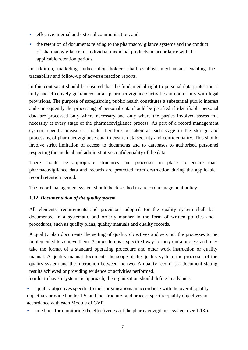- effective internal and external communication; and
- the retention of documents relating to the pharmacovigilance systems and the conduct of pharmacovigilance for individual medicinal products, in accordance with the applicable retention periods.

In addition, marketing authorisation holders shall establish mechanisms enabling the traceability and follow-up of adverse reaction reports.

In this context, it should be ensured that the fundamental right to personal data protection is fully and effectively guaranteed in all pharmacovigilance activities in conformity with legal provisions. The purpose of safeguarding public health constitutes a substantial public interest and consequently the processing of personal data should be justified if identifiable personal data are processed only where necessary and only where the parties involved assess this necessity at every stage of the pharmacovigilance process. As part of a record management system, specific measures should therefore be taken at each stage in the storage and processing of pharmacovigilance data to ensure data security and confidentiality. This should involve strict limitation of access to documents and to databases to authorised personnel respecting the medical and administrative confidentiality of the data.

There should be appropriate structures and processes in place to ensure that pharmacovigilance data and records are protected from destruction during the applicable record retention period.

The record management system should be described in a record management policy.

# **1.12.** *Documentation of the quality system*

All elements, requirements and provisions adopted for the quality system shall be documented in a systematic and orderly manner in the form of written policies and procedures, such as quality plans, quality manuals and quality records.

A quality plan documents the setting of quality objectives and sets out the processes to be implemented to achieve them. A procedure is a specified way to carry out a process and may take the format of a standard operating procedure and other work instruction or quality manual. A quality manual documents the scope of the quality system, the processes of the quality system and the interaction between the two. A quality record is a document stating results achieved or providing evidence of activities performed.

In order to have a systematic approach, the organisation should define in advance:

• quality objectives specific to their organisations in accordance with the overall quality objectives provided under 1.5. and the structure- and process-specific quality objectives in accordance with each Module of GVP.

• methods for monitoring the effectiveness of the pharmacovigilance system (see 1.13.).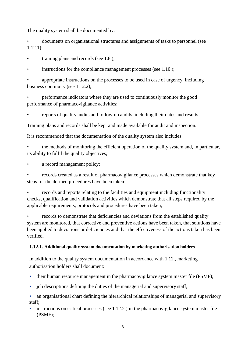The quality system shall be documented by:

• documents on organisational structures and assignments of tasks to personnel (see  $1.12.1$ );

• training plans and records (see 1.8.);

• instructions for the compliance management processes (see 1.10.);

• appropriate instructions on the processes to be used in case of urgency, including business continuity (see 1.12.2);

• performance indicators where they are used to continuously monitor the good performance of pharmacovigilance activities;

• reports of quality audits and follow-up audits, including their dates and results.

Training plans and records shall be kept and made available for audit and inspection.

It is recommended that the documentation of the quality system also includes:

• the methods of monitoring the efficient operation of the quality system and, in particular, its ability to fulfil the quality objectives;

a record management policy;

• records created as a result of pharmacovigilance processes which demonstrate that key steps for the defined procedures have been taken;

• records and reports relating to the facilities and equipment including functionality checks, qualification and validation activities which demonstrate that all steps required by the applicable requirements, protocols and procedures have been taken;

• records to demonstrate that deficiencies and deviations from the established quality system are monitored, that corrective and preventive actions have been taken, that solutions have been applied to deviations or deficiencies and that the effectiveness of the actions taken has been verified.

# **1.12.1. Additional quality system documentation by marketing authorisation holders**

In addition to the quality system documentation in accordance with 1.12., marketing authorisation holders shall document:

- their human resource management in the pharmacovigilance system master file (PSMF);
- job descriptions defining the duties of the managerial and supervisory staff;

• an organisational chart defining the hierarchical relationships of managerial and supervisory staff;

instructions on critical processes (see 1.12.2.) in the pharmacovigilance system master file (PSMF);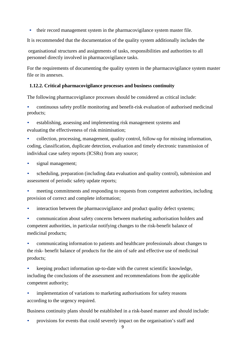• their record management system in the pharmacovigilance system master file.

It is recommended that the documentation of the quality system additionally includes the

organisational structures and assignments of tasks, responsibilities and authorities to all personnel directly involved in pharmacovigilance tasks.

For the requirements of documenting the quality system in the pharmacovigilance system master file or its annexes.

# **1.12.2. Critical pharmacovigilance processes and business continuity**

The following pharmacovigilance processes should be considered as critical include:

• continuous safety profile monitoring and benefit-risk evaluation of authorised medicinal products;

• establishing, assessing and implementing risk management systems and evaluating the effectiveness of risk minimisation;

• collection, processing, management, quality control, follow-up for missing information, coding, classification, duplicate detection, evaluation and timely electronic transmission of individual case safety reports (ICSRs) from any source;

signal management;

• scheduling, preparation (including data evaluation and quality control), submission and assessment of periodic safety update reports;

- meeting commitments and responding to requests from competent authorities, including provision of correct and complete information;
- interaction between the pharmacovigilance and product quality defect systems;

• communication about safety concerns between marketing authorisation holders and competent authorities, in particular notifying changes to the risk-benefit balance of medicinal products;

• communicating information to patients and healthcare professionals about changes to the risk- benefit balance of products for the aim of safe and effective use of medicinal products;

- keeping product information up-to-date with the current scientific knowledge, including the conclusions of the assessment and recommendations from the applicable competent authority;
- implementation of variations to marketing authorisations for safety reasons according to the urgency required.

Business continuity plans should be established in a risk-based manner and should include:

• provisions for events that could severely impact on the organisation's staff and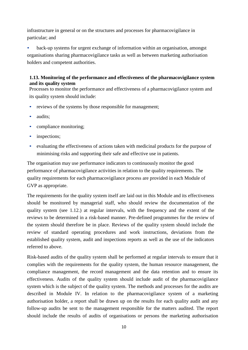infrastructure in general or on the structures and processes for pharmacovigilance in particular; and

back-up systems for urgent exchange of information within an organisation, amongst organisations sharing pharmacovigilance tasks as well as between marketing authorisation holders and competent authorities.

# **1.13. Monitoring of the performance and effectiveness of the pharmacovigilance system and its quality system**

Processes to monitor the performance and effectiveness of a pharmacovigilance system and its quality system should include:

- reviews of the systems by those responsible for management;
- audits:
- compliance monitoring;
- inspections;
- evaluating the effectiveness of actions taken with medicinal products for the purpose of minimising risks and supporting their safe and effective use in patients.

The organisation may use performance indicators to continuously monitor the good performance of pharmacovigilance activities in relation to the quality requirements. The quality requirements for each pharmacovigilance process are provided in each Module of GVP as appropriate.

The requirements for the quality system itself are laid out in this Module and its effectiveness should be monitored by managerial staff, who should review the documentation of the quality system (see 1.12.) at regular intervals, with the frequency and the extent of the reviews to be determined in a risk-based manner. Pre-defined programmes for the review of the system should therefore be in place. Reviews of the quality system should include the review of standard operating procedures and work instructions, deviations from the established quality system, audit and inspections reports as well as the use of the indicators referred to above.

Risk-based audits of the quality system shall be performed at regular intervals to ensure that it complies with the requirements for the quality system, the human resource management, the compliance management, the record management and the data retention and to ensure its effectiveness. Audits of the quality system should include audit of the pharmacovigilance system which is the subject of the quality system. The methods and processes for the audits are described in Module IV. In relation to the pharmacovigilance system of a marketing authorisation holder, a report shall be drawn up on the results for each quality audit and any follow-up audits be sent to the management responsible for the matters audited. The report should include the results of audits of organisations or persons the marketing authorisation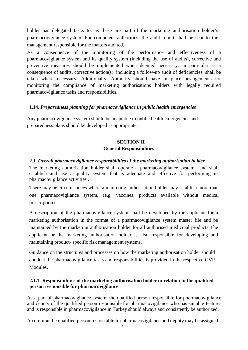holder has delegated tasks to, as these are part of the marketing authorisation holder's pharmacovigilance system. For competent authorities, the audit report shall be sent to the management responsible for the matters audited.

As a consequence of the monitoring of the performance and effectiveness of a pharmacovigilance system and its quality system (including the use of audits), corrective and preventive measures should be implemented when deemed necessary. In particular as a consequence of audits, corrective action(s), including a follow-up audit of deficiencies, shall be taken where necessary. Additionally, Authority should have in place arrangements for monitoring the compliance of marketing authorisations holders with legally required pharmacovigilance tasks and responsibilities.

## **1.14.** *Preparedness planning for pharmacovigilance in public health emergencies*

Any pharmacovigilance system should be adaptable to public health emergencies and preparedness plans should be developed as appropriate.

# **SECTION II General Responsibilities**

## **2.1.** *Overall pharmacovigilance responsibilities of the marketing authorisation holder*

The marketing authorisation holder shall operate a pharmacovigilance system and shall establish and use a quality system that is adequate and effective for performing its pharmacovigilance activities .

There may be circumstances where a marketing authorisation holder may establish more than one pharmacovigilance system, (e.g. vaccines, products available without medical prescription).

A description of the pharmacovigilance system shall be developed by the applicant for a marketing authorisation in the format of a pharmacovigilance system master file and be maintained by the marketing authorisation holder for all authorised medicinal products The applicant or the marketing authorisation holder is also responsible for developing and maintaining product- specific risk management systems.

Guidance on the structures and processes on how the marketing authorisation holder should conduct the pharmacovigilance tasks and responsibilities is provided in the respective GVP Modules.

## **2.1.1. Responsibilities of the marketing authorisation holder in relation to the qualified person responsible for pharmacovigilance**

As a part of pharmacovigilance system, the qualified person responsible for pharmacovigilance and deputy of the qualified person responsible for pharmacovigilance who has suitable features and is responsible in pharmacovigilance in Turkey should always and consistently be authorized.

A common the qualified person responsible for pharmacovigilance and deputy may be assigned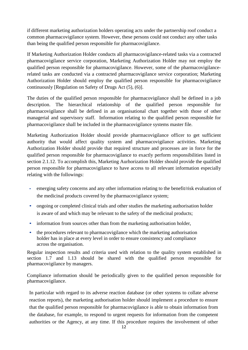if different marketing authorization holders operating acts under the partnership roof conduct a common pharmacovigilance system. However, these persons could not conduct any other tasks than being the qualified person responsible for pharmacovigilance.

If Marketing Authorization Holder conducts all pharmacovigilance-related tasks via a contracted pharmacovigilance service corporation, Marketing Authorization Holder may not employ the qualified person responsible for pharmacovigilance. However, some of the pharmacovigilancerelated tasks are conducted via a contracted pharmacovigilance service corporation; Marketing Authorization Holder should employ the qualified person responsible for pharmacovigilance continuously [Regulation on Safety of Drugs Act (5), (6)].

The duties of the qualified person responsible for pharmacovigilance shall be defined in a job description. The hierarchical relationship of the qualified person responsible for pharmacovigilance shall be defined in an organisational chart together with those of other managerial and supervisory staff. Information relating to the qualified person responsible for pharmacovigilance shall be included in the pharmacovigilance systems master file.

Marketing Authorization Holder should provide pharmacovigilance officer to get sufficient authority that would affect quality system and pharmacovigilance activities. Marketing Authorization Holder should provide that required structure and processes are in force for the qualified person responsible for pharmacovigilance to exactly perform responsibilities listed in section 2.1.12. To accomplish this, Marketing Aurhorization Holder should provide the qualified person responsible for pharmacovigilance to have access to all relevant information especially relating with the followings:

- emerging safety concerns and any other information relating to the benefit/risk evaluation of the medicinal products covered by the pharmacovigilance system;
- ongoing or completed clinical trials and other studies the marketing authorisation holder is aware of and which may be relevant to the safety of the medicinal products;
- information from sources other than from the marketing authorisation holder,
- the procedures relevant to pharmacovigilance which the marketing authorisation holder has in place at every level in order to ensure consistency and compliance across the organisation.

Regular inspection results and criteria used with relation to the quality system established in section 1.7 and 1.13 should be shared with the qualified person responsible for pharmacovigilance by managers.

Compliance information should be periodically given to the qualified person responsible for pharmacovigilance.

In particular with regard to its adverse reaction database (or other systems to collate adverse reaction reports), the marketing authorisation holder should implement a procedure to ensure that the qualified person responsible for pharmacovigilance is able to obtain information from the database, for example, to respond to urgent requests for information from the competent authorities or the Agency, at any time. If this procedure requires the involvement of other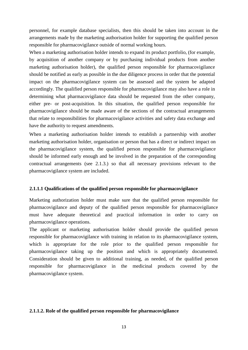personnel, for example database specialists, then this should be taken into account in the arrangements made by the marketing authorisation holder for supporting the qualified person responsible for pharmacovigilance outside of normal working hours.

When a marketing authorisation holder intends to expand its product portfolio, (for example, by acquisition of another company or by purchasing individual products from another marketing authorisation holder), the qualified person responsible for pharmacovigilance should be notified as early as possible in the due diligence process in order that the potential impact on the pharmacovigilance system can be assessed and the system be adapted accordingly. The qualified person responsible for pharmacovigilance may also have a role in determining what pharmacovigilance data should be requested from the other company, either pre- or post-acquisition. In this situation, the qualified person responsible for pharmacovigilance should be made aware of the sections of the contractual arrangements that relate to responsibilities for pharmacovigilance activities and safety data exchange and have the authority to request amendments.

When a marketing authorisation holder intends to establish a partnership with another marketing authorisation holder, organisation or person that has a direct or indirect impact on the pharmacovigilance system, the qualified person responsible for pharmacovigilance should be informed early enough and be involved in the preparation of the corresponding contractual arrangements (see 2.1.3.) so that all necessary provisions relevant to the pharmacovigilance system are included.

#### **2.1.1.1 Qualifications of the qualified person responsible for pharmacovigilance**

Marketing authorization holder must make sure that the qualified person responsible for pharmacovigilance and deputy of the qualified person responsible for pharmacovigilance must have adequate theoretical and practical information in order to carry on pharmacovigilance operations.

The applicant or marketing authorisation holder should provide the qualified person responsible for pharmacovigilance with training in relation to its pharmacovigilance system, which is appropriate for the role prior to the qualified person responsible for pharmacovigilance taking up the position and which is appropriately documented. Consideration should be given to additional training, as needed, of the qualified person responsible for pharmacovigilance in the medicinal products covered by the pharmacovigilance system.

#### **2.1.1.2. Role of the qualified person responsible for pharmacovigilance**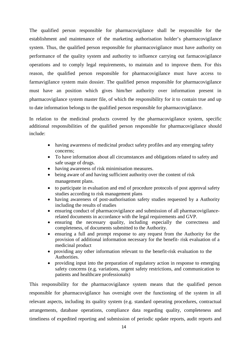The qualified person responsible for pharmacovigilance shall be responsible for the establishment and maintenance of the marketing authorisation holder's pharmacovigilance system. Thus, the qualified person responsible for pharmacovigilance must have authority on performance of the quality system and authority to influence carrying out farmacovigilance operations and to comply legal requirements, to maintain and to improve them. For this reason, the qualified person responsible for pharmacovigilance must have access to farmavigilance system main dossier. The qualified person responsible for pharmacovigilance must have an position which gives him/her authority over information present in pharmacovigilance system master file, of which the responsibility for it to contain true and up to date information belongs to the qualified person responsible for pharmacovigilance.

In relation to the medicinal products covered by the pharmacovigilance system, specific additional responsibilities of the qualified person responsible for pharmacovigilance should include:

- having awareness of medicinal product safety profiles and any emerging safety concerns;
- To have information about all circumstances and obligations related to safety and safe usage of drugs.
- having awareness of risk minimisation measures.
- being aware of and having sufficient authority over the content of risk management plans.
- to participate in evaluation and end of procedure protocols of post approval safety studies according to risk management plans
- having awareness of post-authorisation safety studies requested by a Authority including the results of studies
- ensuring conduct of pharmacovigilance and submission of all pharmacovigilancerelated documents in accordance with the legal requirements and GVP.
- ensuring the necessary quality, including especially the correctness and completeness, of documents submitted to the Authority.
- ensuring a full and prompt response to any request from the Authority for the provision of additional information necessary for the benefit- risk evaluation of a medicinal product
- providing any other information relevant to the benefit-risk evaluation to the Authorities.
- providing input into the preparation of regulatory action in response to emerging safety concerns (e.g. variations, urgent safety restrictions, and communication to patients and healthcare professionals)

This responsibility for the pharmacovigilance system means that the qualified person responsible for pharmacovigilance has oversight over the functioning of the system in all relevant aspects, including its quality system (e.g. standard operating procedures, contractual arrangements, database operations, compliance data regarding quality, completeness and timeliness of expedited reporting and submission of periodic update reports, audit reports and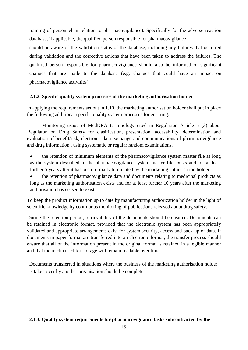training of personnel in relation to pharmacovigilance). Specifically for the adverse reaction database, if applicable, the qualified person responsible for pharmacovigilance

should be aware of the validation status of the database, including any failures that occurred during validation and the corrective actions that have been taken to address the failures. The qualified person responsible for pharmacovigilance should also be informed of significant changes that are made to the database (e.g. changes that could have an impact on pharmacovigilance activities).

### **2.1.2. Specific quality system processes of the marketing authorisation holder**

In applying the requirements set out in 1.10, the marketing authorisation holder shall put in place the following additional specific quality system processes for ensuring:

Monitoring usage of MedDRA terminology cited in Regulation Article 5 (3) about Regulaton on Drug Safety for clasification, presentation, accesability, determination and evaluation of benefit/risk, electronic data exchange and communications of pharmacovigilance and drug information , using systematic or regular random examinations.

- the retention of minimum elements of the pharmacovigilance system master file as long as the system described in the pharmacovigilance system master file exists and for at least further 5 years after it has been formally terminated by the marketing authorisation holder
- the retention of pharmacovigilance data and documents relating to medicinal products as long as the marketing authorisation exists and for at least further 10 years after the marketing authorisation has ceased to exist.

To keep the product information up to date by manufacturing authorization holder in the light of scientific knowledge by continuous monitoring of publications released about drug safety.

During the retention period, retrievability of the documents should be ensured. Documents can be retained in electronic format, provided that the electronic system has been appropriately validated and appropriate arrangements exist for system security, access and back-up of data. If documents in paper format are transferred into an electronic format, the transfer process should ensure that all of the information present in the original format is retained in a legible manner and that the media used for storage will remain readable over time.

Documents transferred in situations where the business of the marketing authorisation holder is taken over by another organisation should be complete.

## **2.1.3. Quality system requirements for pharmacovigilance tasks subcontracted by the**